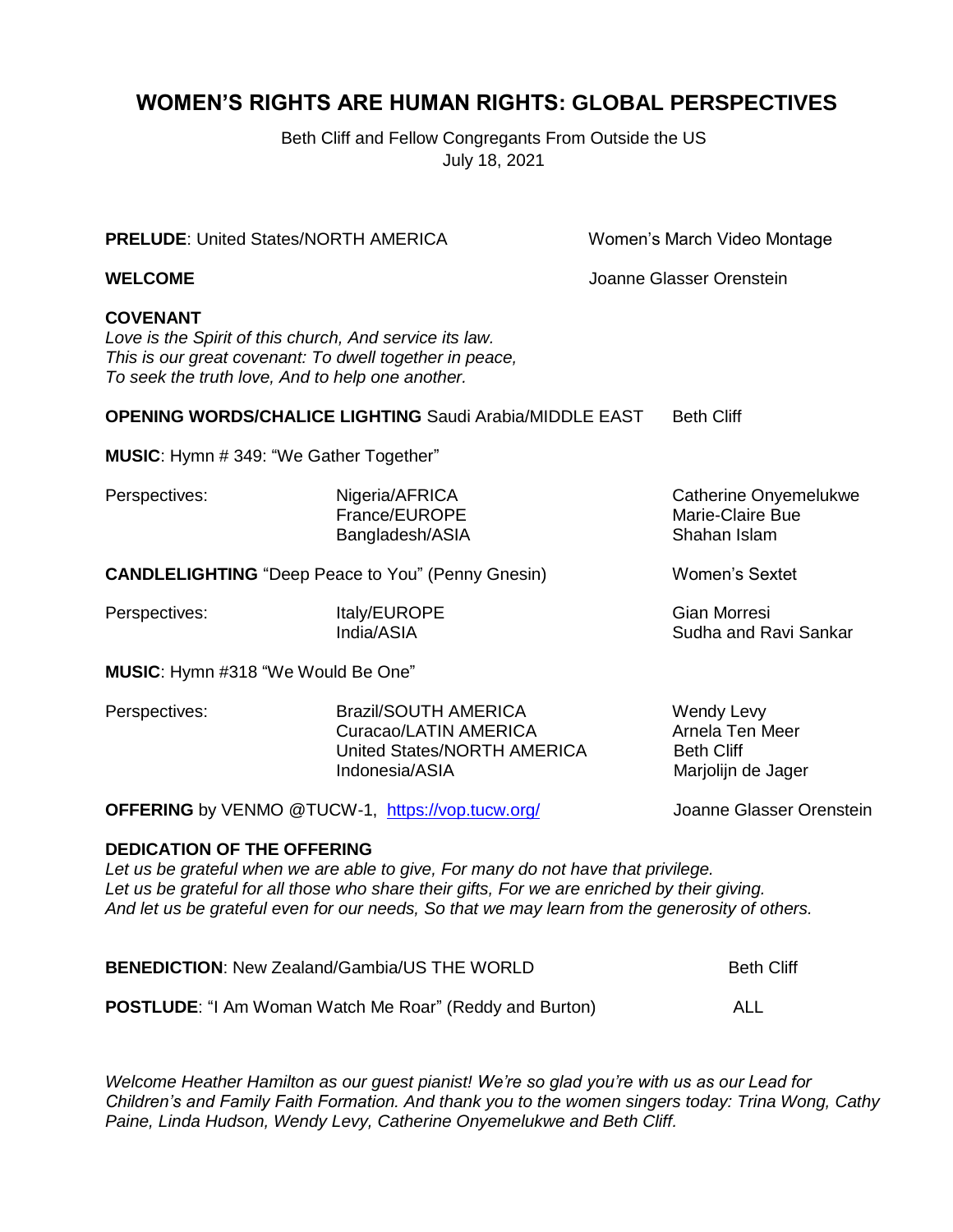#### **WOMEN'S RIGHTS ARE HUMAN RIGHTS: GLOBAL PERSPECTIVES**

Beth Cliff and Fellow Congregants From Outside the US July 18, 2021

**PRELUDE:** United States/NORTH AMERICA Women's March Video Montage **WELCOME** Joanne Glasser Orenstein **COVENANT** *Love is the Spirit of this church, And service its law. This is our great covenant: To dwell together in peace, To seek the truth love, And to help one another.* **OPENING WORDS/CHALICE LIGHTING** Saudi Arabia/MIDDLE EAST Beth Cliff **MUSIC**: Hymn # 349: "We Gather Together" Perspectives: Nigeria/AFRICA Catherine Onyemelukwe France/EUROPE Marie-Claire Bue Bangladesh/ASIA Shahan Islam **CANDLELIGHTING** "Deep Peace to You" (Penny Gnesin) Women's Sextet Perspectives: The Italy/EUROPE Contract and Gian Morresi India/ASIA Sudha and Ravi Sankar **MUSIC**: Hymn #318 "We Would Be One" Perspectives: Brazil/SOUTH AMERICA Wendy Levy Curacao/LATIN AMERICA Arnela Ten Meer United States/NORTH AMERICA Beth Cliff Indonesia/ASIA Marjolijn de Jager **OFFERING** by VENMO @TUCW-1, <https://vop.tucw.org/> Joanne Glasser Orenstein **DEDICATION OF THE OFFERING** *Let us be grateful when we are able to give, For many do not have that privilege. Let us be grateful for all those who share their gifts, For we are enriched by their giving. And let us be grateful even for our needs, So that we may learn from the generosity of others.*

**BENEDICTION:** New Zealand/Gambia/US THE WORLD **Beth Cliff** Beth Cliff **POSTLUDE**: "I Am Woman Watch Me Roar" (Reddy and Burton) ALL

*Welcome Heather Hamilton as our guest pianist! We're so glad you're with us as our Lead for Children's and Family Faith Formation. And thank you to the women singers today: Trina Wong, Cathy Paine, Linda Hudson, Wendy Levy, Catherine Onyemelukwe and Beth Cliff.*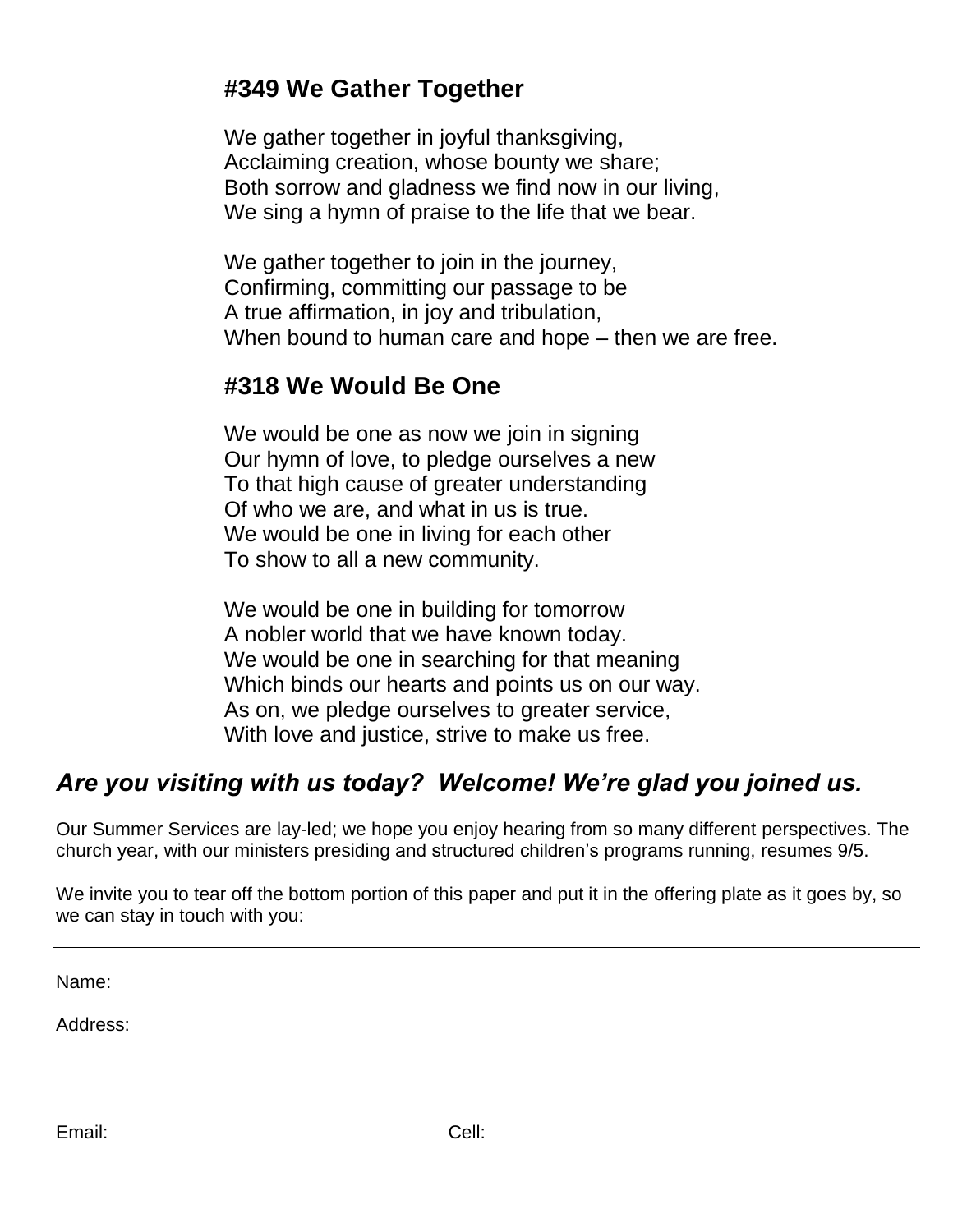### **#349 We Gather Together**

We gather together in joyful thanksgiving, Acclaiming creation, whose bounty we share; Both sorrow and gladness we find now in our living, We sing a hymn of praise to the life that we bear.

We gather together to join in the journey, Confirming, committing our passage to be A true affirmation, in joy and tribulation, When bound to human care and hope – then we are free.

## **#318 We Would Be One**

We would be one as now we join in signing Our hymn of love, to pledge ourselves a new To that high cause of greater understanding Of who we are, and what in us is true. We would be one in living for each other To show to all a new community.

We would be one in building for tomorrow A nobler world that we have known today. We would be one in searching for that meaning Which binds our hearts and points us on our way. As on, we pledge ourselves to greater service, With love and justice, strive to make us free.

# *Are you visiting with us today? Welcome! We're glad you joined us.*

Our Summer Services are lay-led; we hope you enjoy hearing from so many different perspectives. The church year, with our ministers presiding and structured children's programs running, resumes 9/5.

We invite you to tear off the bottom portion of this paper and put it in the offering plate as it goes by, so we can stay in touch with you:

Name:

Address: